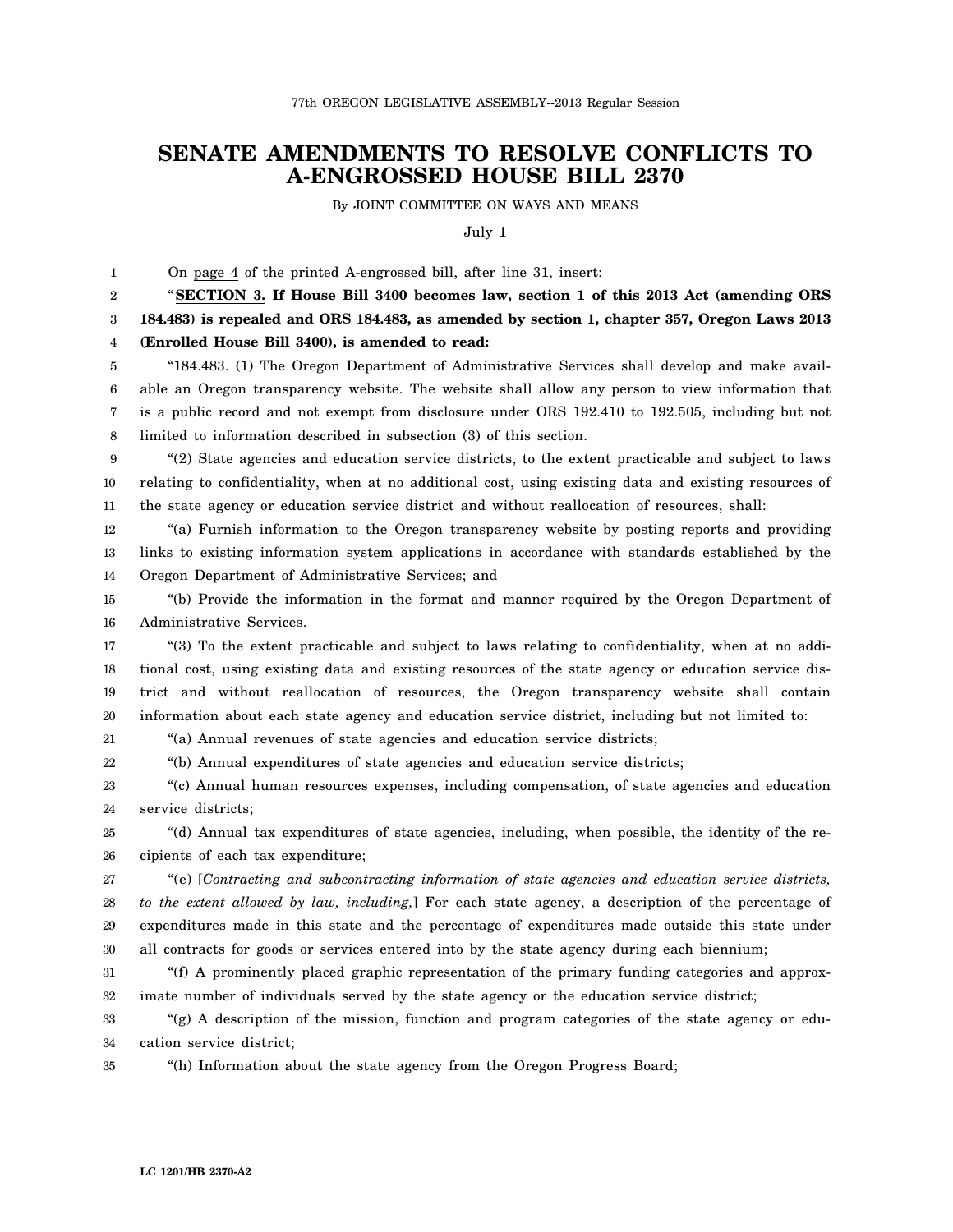## **SENATE AMENDMENTS TO RESOLVE CONFLICTS TO A-ENGROSSED HOUSE BILL 2370**

By JOINT COMMITTEE ON WAYS AND MEANS

July 1

1 On page 4 of the printed A-engrossed bill, after line 31, insert:

2 3 4 "**SECTION 3. If House Bill 3400 becomes law, section 1 of this 2013 Act (amending ORS 184.483) is repealed and ORS 184.483, as amended by section 1, chapter 357, Oregon Laws 2013 (Enrolled House Bill 3400), is amended to read:**

5 6 7 8 "184.483. (1) The Oregon Department of Administrative Services shall develop and make available an Oregon transparency website. The website shall allow any person to view information that is a public record and not exempt from disclosure under ORS 192.410 to 192.505, including but not limited to information described in subsection (3) of this section.

9 10 11 "(2) State agencies and education service districts, to the extent practicable and subject to laws relating to confidentiality, when at no additional cost, using existing data and existing resources of the state agency or education service district and without reallocation of resources, shall:

12 13 14 "(a) Furnish information to the Oregon transparency website by posting reports and providing links to existing information system applications in accordance with standards established by the Oregon Department of Administrative Services; and

15 16 "(b) Provide the information in the format and manner required by the Oregon Department of Administrative Services.

17 18 19 20 "(3) To the extent practicable and subject to laws relating to confidentiality, when at no additional cost, using existing data and existing resources of the state agency or education service district and without reallocation of resources, the Oregon transparency website shall contain information about each state agency and education service district, including but not limited to:

21 "(a) Annual revenues of state agencies and education service districts;

22 "(b) Annual expenditures of state agencies and education service districts;

23 24 "(c) Annual human resources expenses, including compensation, of state agencies and education service districts;

25 26 "(d) Annual tax expenditures of state agencies, including, when possible, the identity of the recipients of each tax expenditure;

27 28 29 30 "(e) [*Contracting and subcontracting information of state agencies and education service districts, to the extent allowed by law, including,*] For each state agency, a description of the percentage of expenditures made in this state and the percentage of expenditures made outside this state under all contracts for goods or services entered into by the state agency during each biennium;

31 32 "(f) A prominently placed graphic representation of the primary funding categories and approximate number of individuals served by the state agency or the education service district;

33 34 "(g) A description of the mission, function and program categories of the state agency or education service district;

35 "(h) Information about the state agency from the Oregon Progress Board;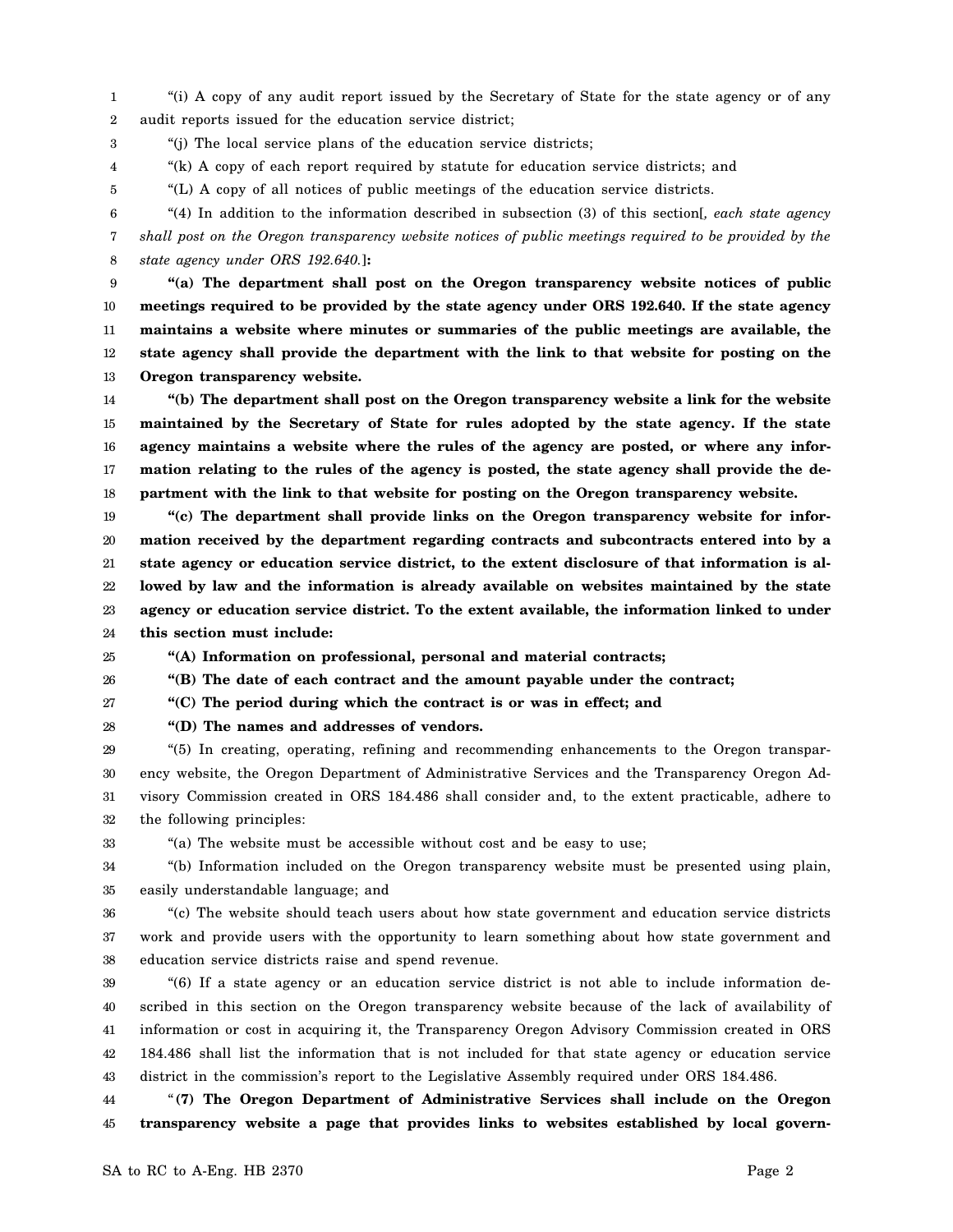1 2 "(i) A copy of any audit report issued by the Secretary of State for the state agency or of any audit reports issued for the education service district;

3 "(j) The local service plans of the education service districts;

4 "(k) A copy of each report required by statute for education service districts; and

"(L) A copy of all notices of public meetings of the education service districts.

6 7 8 "(4) In addition to the information described in subsection (3) of this section[*, each state agency shall post on the Oregon transparency website notices of public meetings required to be provided by the state agency under ORS 192.640.*]**:**

9 10 11 12 13 **"(a) The department shall post on the Oregon transparency website notices of public meetings required to be provided by the state agency under ORS 192.640. If the state agency maintains a website where minutes or summaries of the public meetings are available, the state agency shall provide the department with the link to that website for posting on the Oregon transparency website.**

14 15 16 17 18 **"(b) The department shall post on the Oregon transparency website a link for the website maintained by the Secretary of State for rules adopted by the state agency. If the state agency maintains a website where the rules of the agency are posted, or where any information relating to the rules of the agency is posted, the state agency shall provide the department with the link to that website for posting on the Oregon transparency website.**

19 20 21 22 23 24 **"(c) The department shall provide links on the Oregon transparency website for information received by the department regarding contracts and subcontracts entered into by a state agency or education service district, to the extent disclosure of that information is allowed by law and the information is already available on websites maintained by the state agency or education service district. To the extent available, the information linked to under this section must include:**

25 **"(A) Information on professional, personal and material contracts;**

26 **"(B) The date of each contract and the amount payable under the contract;**

27 **"(C) The period during which the contract is or was in effect; and**

**"(D) The names and addresses of vendors.**

28

5

29 30 31 32 "(5) In creating, operating, refining and recommending enhancements to the Oregon transparency website, the Oregon Department of Administrative Services and the Transparency Oregon Advisory Commission created in ORS 184.486 shall consider and, to the extent practicable, adhere to the following principles:

33 "(a) The website must be accessible without cost and be easy to use;

34 35 "(b) Information included on the Oregon transparency website must be presented using plain, easily understandable language; and

36 37 38 "(c) The website should teach users about how state government and education service districts work and provide users with the opportunity to learn something about how state government and education service districts raise and spend revenue.

39 40 41 42 43 "(6) If a state agency or an education service district is not able to include information described in this section on the Oregon transparency website because of the lack of availability of information or cost in acquiring it, the Transparency Oregon Advisory Commission created in ORS 184.486 shall list the information that is not included for that state agency or education service district in the commission's report to the Legislative Assembly required under ORS 184.486.

44 45 "**(7) The Oregon Department of Administrative Services shall include on the Oregon transparency website a page that provides links to websites established by local govern-**